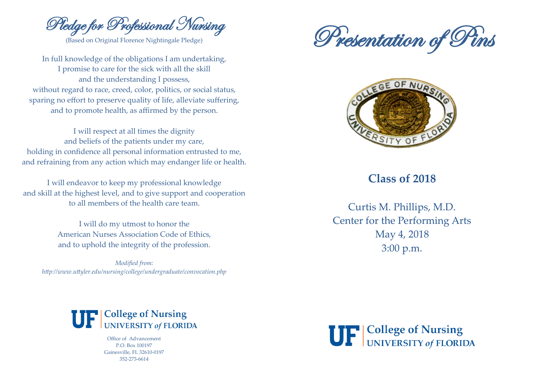Pledge for Professional Nursing

(Based on Original Florence Nightingale Pledge)

In full knowledge of the obligations I am undertaking, I promise to care for the sick with all the skill and the understanding I possess, without regard to race, creed, color, politics, or social status, sparing no effort to preserve quality of life, alleviate suffering, and to promote health, as affirmed by the person.

I will respect at all times the dignity and beliefs of the patients under my care, holding in confidence all personal information entrusted to me, and refraining from any action which may endanger life or health.

I will endeavor to keep my professional knowledge and skill at the highest level, and to give support and cooperation to all members of the health care team.

> I will do my utmost to honor the American Nurses Association Code of Ethics, and to uphold the integrity of the profession.

*Modified from: http://www.uttyler.edu/nursing/college/undergraduate/convocation.php*





## **Class of 2018**

Curtis M. Phillips, M.D. Center for the Performing Arts May 4, 2018 3:00 p.m.



Office of Advancement P.O. Box 100197 Gainesville, FL 32610-0197 352-273-6614

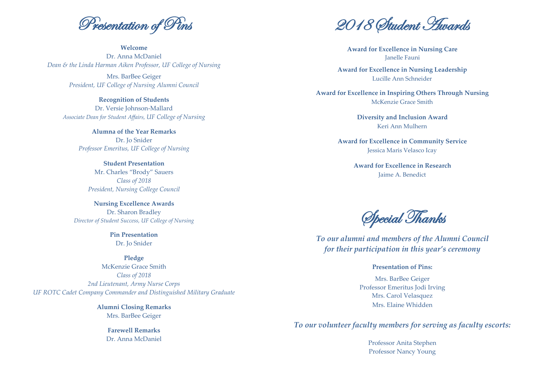Presentation of Pins

**Welcome** Dr. Anna McDaniel *Dean & the Linda Harman Aiken Professor, UF College of Nursing*

Mrs. BarBee Geiger *President, UF College of Nursing Alumni Council*

**Recognition of Students** Dr. Versie Johnson-Mallard *Associate Dean for Student Affairs, UF College of Nursing*

> **Alumna of the Year Remarks** Dr. Jo Snider *Professor Emeritus, UF College of Nursing*

**Student Presentation** Mr. Charles "Brody" Sauers *Class of 2018 President, Nursing College Council* 

**Nursing Excellence Awards** Dr. Sharon Bradley *Director of Student Success, UF College of Nursing*

> **Pin Presentation** Dr. Jo Snider

**Pledge** McKenzie Grace Smith *Class of 2018 2nd Lieutenant, Army Nurse Corps UF ROTC Cadet Company Commander and Distinguished Military Graduate* 

> **Alumni Closing Remarks** Mrs. BarBee Geiger

> > **Farewell Remarks** Dr. Anna McDaniel

2018 Student Awards

**Award for Excellence in Nursing Care** Janelle Fauni

**Award for Excellence in Nursing Leadership** Lucille Ann Schneider

**Award for Excellence in Inspiring Others Through Nursing** McKenzie Grace Smith

> **Diversity and Inclusion Award** Keri Ann Mulhern

**Award for Excellence in Community Service** Jessica Maris Velasco Icay

> **Award for Excellence in Research** Jaime A. Benedict

Special Thanks

*To our alumni and members of the Alumni Council for their participation in this year's ceremony*

## **Presentation of Pins:**

Mrs. BarBee Geiger Professor Emeritus Jodi Irving Mrs. Carol Velasquez Mrs. Elaine Whidden

*To our volunteer faculty members for serving as faculty escorts:*

Professor Anita Stephen Professor Nancy Young